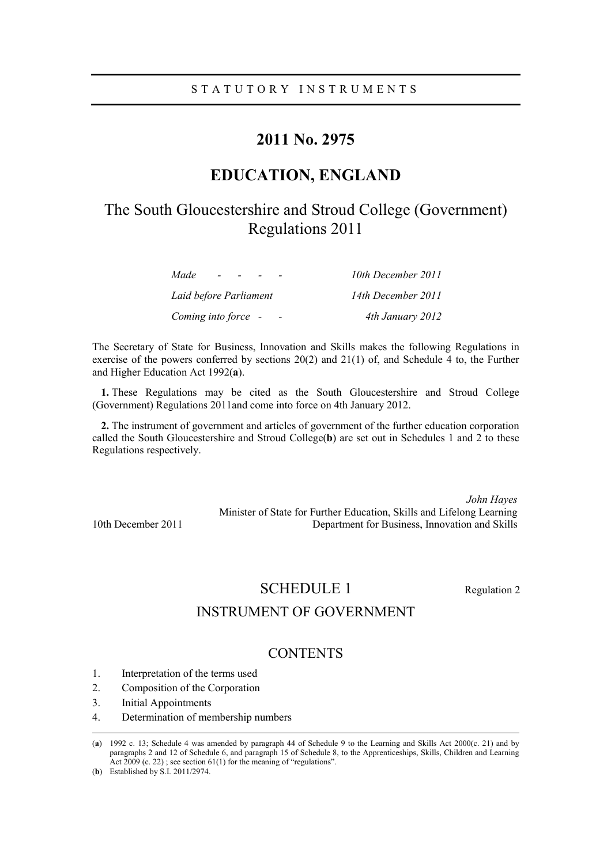# **2011 No. 2975**

# **EDUCATION, ENGLAND**

# The South Gloucestershire and Stroud College (Government) Regulations 2011

| Made<br>$\sim$         | 10th December 2011 |
|------------------------|--------------------|
| Laid before Parliament | 14th December 2011 |
| Coming into force -    | 4th January 2012   |

The Secretary of State for Business, Innovation and Skills makes the following Regulations in exercise of the powers conferred by sections  $20(2)$  and  $21(1)$  of, and Schedule 4 to, the Further and Higher Education Act 1992(**a**).

**1.** These Regulations may be cited as the South Gloucestershire and Stroud College (Government) Regulations 2011and come into force on 4th January 2012.

**2.** The instrument of government and articles of government of the further education corporation called the South Gloucestershire and Stroud College(**b**) are set out in Schedules 1 and 2 to these Regulations respectively.

*John Hayes* Minister of State for Further Education, Skills and Lifelong Learning 10th December 2011 Department for Business, Innovation and Skills

SCHEDULE 1 Regulation 2

# INSTRUMENT OF GOVERNMENT

# **CONTENTS**

- 1. Interpretation of the terms used
- 2. Composition of the Corporation
- 3. Initial Appointments
- 4. Determination of membership numbers

 <sup>(</sup>**a**) 1992 c. 13; Schedule 4 was amended by paragraph 44 of Schedule 9 to the Learning and Skills Act 2000(c. 21) and by paragraphs 2 and 12 of Schedule 6, and paragraph 15 of Schedule 8, to the Apprenticeships, Skills, Children and Learning Act 2009 (c. 22); see section 61(1) for the meaning of "regulations".

<sup>(</sup>**b**) Established by S.I. 2011/2974.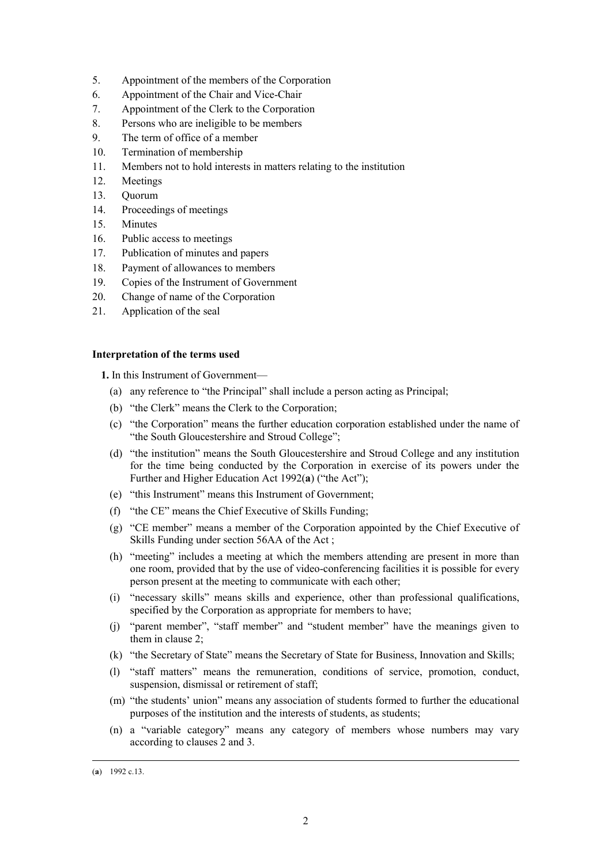- 5. Appointment of the members of the Corporation
- 6. Appointment of the Chair and Vice-Chair
- 7. Appointment of the Clerk to the Corporation
- 8. Persons who are ineligible to be members
- 9. The term of office of a member
- 10. Termination of membership
- 11. Members not to hold interests in matters relating to the institution
- 12. Meetings
- 13. Quorum
- 14. Proceedings of meetings
- 15. Minutes
- 16. Public access to meetings
- 17. Publication of minutes and papers
- 18. Payment of allowances to members
- 19. Copies of the Instrument of Government
- 20. Change of name of the Corporation
- 21. Application of the seal

# **Interpretation of the terms used**

**1.** In this Instrument of Government—

- (a) any reference to "the Principal" shall include a person acting as Principal;
- (b) "the Clerk" means the Clerk to the Corporation;
- (c) "the Corporation" means the further education corporation established under the name of "the South Gloucestershire and Stroud College";
- (d) "the institution" means the South Gloucestershire and Stroud College and any institution for the time being conducted by the Corporation in exercise of its powers under the Further and Higher Education Act 1992(**a**) ("the Act");
- (e) "this Instrument" means this Instrument of Government;
- (f) "the CE" means the Chief Executive of Skills Funding;
- (g) "CE member" means a member of the Corporation appointed by the Chief Executive of Skills Funding under section 56AA of the Act ;
- (h) "meeting" includes a meeting at which the members attending are present in more than one room, provided that by the use of video-conferencing facilities it is possible for every person present at the meeting to communicate with each other;
- (i) "necessary skills" means skills and experience, other than professional qualifications, specified by the Corporation as appropriate for members to have;
- (j) "parent member", "staff member" and "student member" have the meanings given to them in clause 2;
- (k) "the Secretary of State" means the Secretary of State for Business, Innovation and Skills;
- (l) "staff matters" means the remuneration, conditions of service, promotion, conduct, suspension, dismissal or retirement of staff;
- (m) "the students' union" means any association of students formed to further the educational purposes of the institution and the interests of students, as students;
- (n) a "variable category" means any category of members whose numbers may vary according to clauses 2 and 3.

 <sup>(</sup>**a**) 1992 c.13.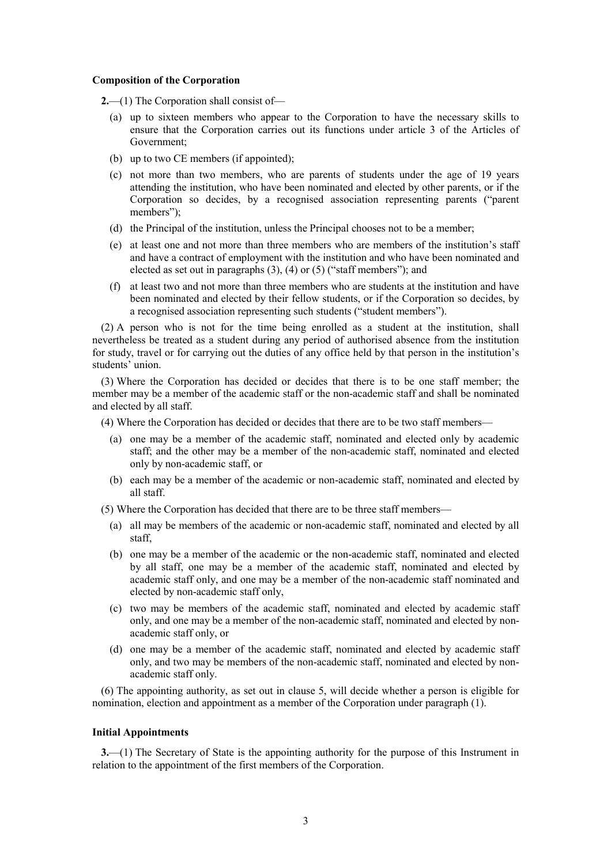### **Composition of the Corporation**

- **2.**—(1) The Corporation shall consist of—
	- (a) up to sixteen members who appear to the Corporation to have the necessary skills to ensure that the Corporation carries out its functions under article 3 of the Articles of Government;
	- (b) up to two CE members (if appointed);
	- (c) not more than two members, who are parents of students under the age of 19 years attending the institution, who have been nominated and elected by other parents, or if the Corporation so decides, by a recognised association representing parents ("parent members");
	- (d) the Principal of the institution, unless the Principal chooses not to be a member;
	- (e) at least one and not more than three members who are members of the institution's staff and have a contract of employment with the institution and who have been nominated and elected as set out in paragraphs (3), (4) or (5) ("staff members"); and
	- (f) at least two and not more than three members who are students at the institution and have been nominated and elected by their fellow students, or if the Corporation so decides, by a recognised association representing such students ("student members").

(2) A person who is not for the time being enrolled as a student at the institution, shall nevertheless be treated as a student during any period of authorised absence from the institution for study, travel or for carrying out the duties of any office held by that person in the institution's students' union.

(3) Where the Corporation has decided or decides that there is to be one staff member; the member may be a member of the academic staff or the non-academic staff and shall be nominated and elected by all staff.

- (4) Where the Corporation has decided or decides that there are to be two staff members—
	- (a) one may be a member of the academic staff, nominated and elected only by academic staff; and the other may be a member of the non-academic staff, nominated and elected only by non-academic staff, or
	- (b) each may be a member of the academic or non-academic staff, nominated and elected by all staff.

(5) Where the Corporation has decided that there are to be three staff members—

- (a) all may be members of the academic or non-academic staff, nominated and elected by all staff,
- (b) one may be a member of the academic or the non-academic staff, nominated and elected by all staff, one may be a member of the academic staff, nominated and elected by academic staff only, and one may be a member of the non-academic staff nominated and elected by non-academic staff only,
- (c) two may be members of the academic staff, nominated and elected by academic staff only, and one may be a member of the non-academic staff, nominated and elected by nonacademic staff only, or
- (d) one may be a member of the academic staff, nominated and elected by academic staff only, and two may be members of the non-academic staff, nominated and elected by nonacademic staff only.

(6) The appointing authority, as set out in clause 5, will decide whether a person is eligible for nomination, election and appointment as a member of the Corporation under paragraph (1).

# **Initial Appointments**

**3.**—(1) The Secretary of State is the appointing authority for the purpose of this Instrument in relation to the appointment of the first members of the Corporation.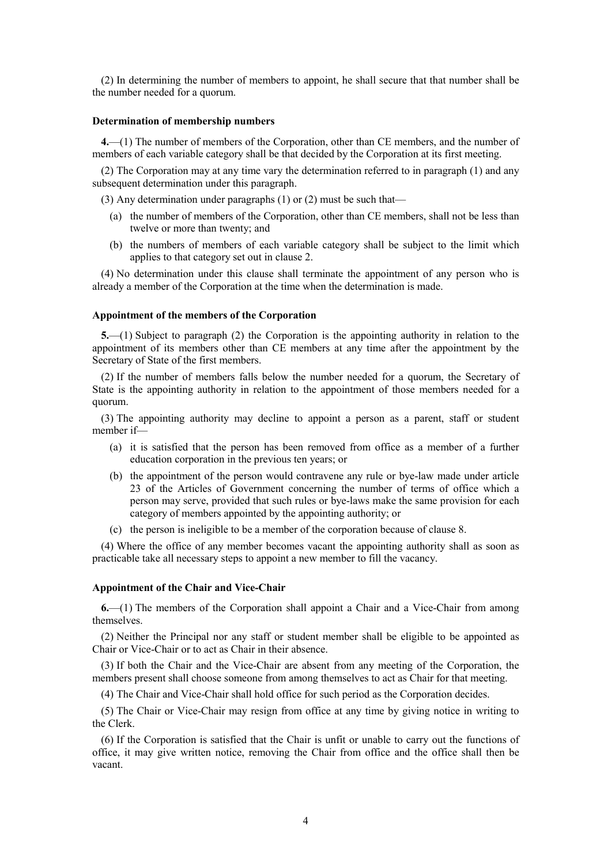(2) In determining the number of members to appoint, he shall secure that that number shall be the number needed for a quorum.

# **Determination of membership numbers**

**4.**—(1) The number of members of the Corporation, other than CE members, and the number of members of each variable category shall be that decided by the Corporation at its first meeting.

(2) The Corporation may at any time vary the determination referred to in paragraph (1) and any subsequent determination under this paragraph.

(3) Any determination under paragraphs (1) or (2) must be such that—

- (a) the number of members of the Corporation, other than CE members, shall not be less than twelve or more than twenty; and
- (b) the numbers of members of each variable category shall be subject to the limit which applies to that category set out in clause 2.

(4) No determination under this clause shall terminate the appointment of any person who is already a member of the Corporation at the time when the determination is made.

## **Appointment of the members of the Corporation**

**5.**—(1) Subject to paragraph (2) the Corporation is the appointing authority in relation to the appointment of its members other than CE members at any time after the appointment by the Secretary of State of the first members.

(2) If the number of members falls below the number needed for a quorum, the Secretary of State is the appointing authority in relation to the appointment of those members needed for a quorum.

(3) The appointing authority may decline to appoint a person as a parent, staff or student member if—

- (a) it is satisfied that the person has been removed from office as a member of a further education corporation in the previous ten years; or
- (b) the appointment of the person would contravene any rule or bye-law made under article 23 of the Articles of Government concerning the number of terms of office which a person may serve, provided that such rules or bye-laws make the same provision for each category of members appointed by the appointing authority; or
- (c) the person is ineligible to be a member of the corporation because of clause 8.

(4) Where the office of any member becomes vacant the appointing authority shall as soon as practicable take all necessary steps to appoint a new member to fill the vacancy.

### **Appointment of the Chair and Vice-Chair**

**6.**—(1) The members of the Corporation shall appoint a Chair and a Vice-Chair from among themselves.

(2) Neither the Principal nor any staff or student member shall be eligible to be appointed as Chair or Vice-Chair or to act as Chair in their absence.

(3) If both the Chair and the Vice-Chair are absent from any meeting of the Corporation, the members present shall choose someone from among themselves to act as Chair for that meeting.

(4) The Chair and Vice-Chair shall hold office for such period as the Corporation decides.

(5) The Chair or Vice-Chair may resign from office at any time by giving notice in writing to the Clerk.

(6) If the Corporation is satisfied that the Chair is unfit or unable to carry out the functions of office, it may give written notice, removing the Chair from office and the office shall then be vacant.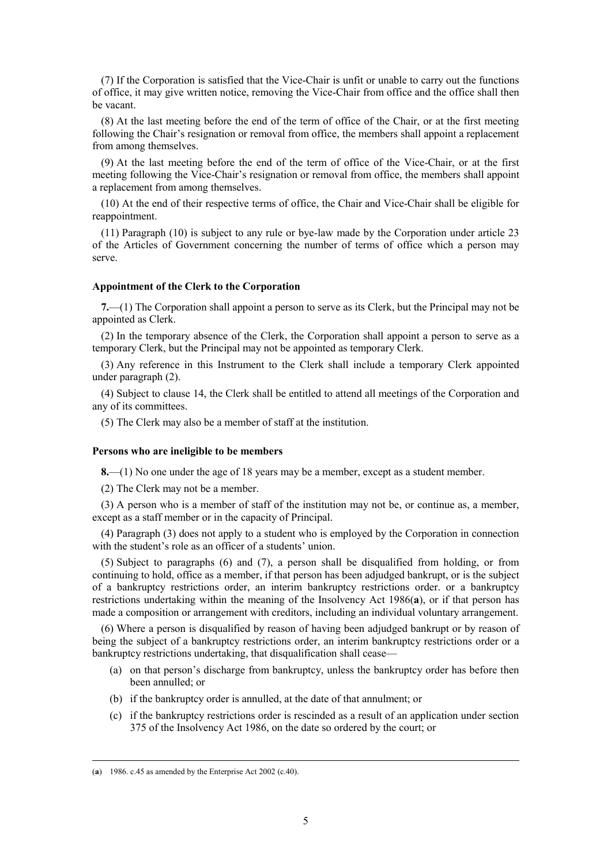(7) If the Corporation is satisfied that the Vice-Chair is unfit or unable to carry out the functions of office, it may give written notice, removing the Vice-Chair from office and the office shall then be vacant.

(8) At the last meeting before the end of the term of office of the Chair, or at the first meeting following the Chair's resignation or removal from office, the members shall appoint a replacement from among themselves.

(9) At the last meeting before the end of the term of office of the Vice-Chair, or at the first meeting following the Vice-Chair's resignation or removal from office, the members shall appoint a replacement from among themselves.

(10) At the end of their respective terms of office, the Chair and Vice-Chair shall be eligible for reappointment.

(11) Paragraph (10) is subject to any rule or bye-law made by the Corporation under article 23 of the Articles of Government concerning the number of terms of office which a person may serve.

# **Appointment of the Clerk to the Corporation**

**7.**—(1) The Corporation shall appoint a person to serve as its Clerk, but the Principal may not be appointed as Clerk.

(2) In the temporary absence of the Clerk, the Corporation shall appoint a person to serve as a temporary Clerk, but the Principal may not be appointed as temporary Clerk.

(3) Any reference in this Instrument to the Clerk shall include a temporary Clerk appointed under paragraph (2).

(4) Subject to clause 14, the Clerk shall be entitled to attend all meetings of the Corporation and any of its committees.

(5) The Clerk may also be a member of staff at the institution.

#### **Persons who are ineligible to be members**

**8.**—(1) No one under the age of 18 years may be a member, except as a student member.

(2) The Clerk may not be a member.

(3) A person who is a member of staff of the institution may not be, or continue as, a member, except as a staff member or in the capacity of Principal.

(4) Paragraph (3) does not apply to a student who is employed by the Corporation in connection with the student's role as an officer of a students' union.

(5) Subject to paragraphs (6) and (7), a person shall be disqualified from holding, or from continuing to hold, office as a member, if that person has been adjudged bankrupt, or is the subject of a bankruptcy restrictions order, an interim bankruptcy restrictions order. or a bankruptcy restrictions undertaking within the meaning of the Insolvency Act 1986(**a**), or if that person has made a composition or arrangement with creditors, including an individual voluntary arrangement.

(6) Where a person is disqualified by reason of having been adjudged bankrupt or by reason of being the subject of a bankruptcy restrictions order, an interim bankruptcy restrictions order or a bankruptcy restrictions undertaking, that disqualification shall cease—

- (a) on that person's discharge from bankruptcy, unless the bankruptcy order has before then been annulled; or
- (b) if the bankruptcy order is annulled, at the date of that annulment; or
- (c) if the bankruptcy restrictions order is rescinded as a result of an application under section 375 of the Insolvency Act 1986, on the date so ordered by the court; or

 <sup>(</sup>**a**) 1986. c.45 as amended by the Enterprise Act 2002 (c.40).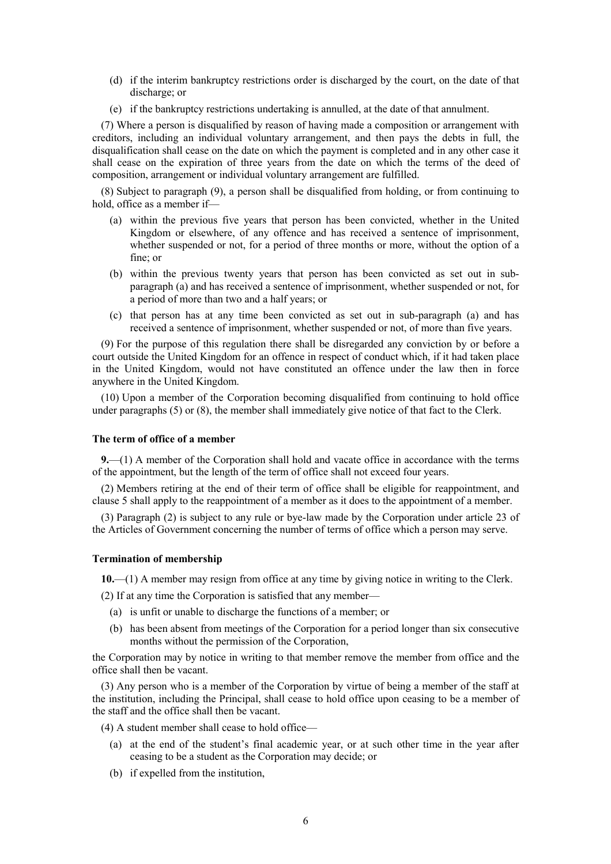- (d) if the interim bankruptcy restrictions order is discharged by the court, on the date of that discharge; or
- (e) if the bankruptcy restrictions undertaking is annulled, at the date of that annulment.

(7) Where a person is disqualified by reason of having made a composition or arrangement with creditors, including an individual voluntary arrangement, and then pays the debts in full, the disqualification shall cease on the date on which the payment is completed and in any other case it shall cease on the expiration of three years from the date on which the terms of the deed of composition, arrangement or individual voluntary arrangement are fulfilled.

(8) Subject to paragraph (9), a person shall be disqualified from holding, or from continuing to hold, office as a member if—

- (a) within the previous five years that person has been convicted, whether in the United Kingdom or elsewhere, of any offence and has received a sentence of imprisonment, whether suspended or not, for a period of three months or more, without the option of a fine; or
- (b) within the previous twenty years that person has been convicted as set out in subparagraph (a) and has received a sentence of imprisonment, whether suspended or not, for a period of more than two and a half years; or
- (c) that person has at any time been convicted as set out in sub-paragraph (a) and has received a sentence of imprisonment, whether suspended or not, of more than five years.

(9) For the purpose of this regulation there shall be disregarded any conviction by or before a court outside the United Kingdom for an offence in respect of conduct which, if it had taken place in the United Kingdom, would not have constituted an offence under the law then in force anywhere in the United Kingdom.

(10) Upon a member of the Corporation becoming disqualified from continuing to hold office under paragraphs (5) or (8), the member shall immediately give notice of that fact to the Clerk.

# **The term of office of a member**

**9.**—(1) A member of the Corporation shall hold and vacate office in accordance with the terms of the appointment, but the length of the term of office shall not exceed four years.

(2) Members retiring at the end of their term of office shall be eligible for reappointment, and clause 5 shall apply to the reappointment of a member as it does to the appointment of a member.

(3) Paragraph (2) is subject to any rule or bye-law made by the Corporation under article 23 of the Articles of Government concerning the number of terms of office which a person may serve.

# **Termination of membership**

**10.**—(1) A member may resign from office at any time by giving notice in writing to the Clerk.

(2) If at any time the Corporation is satisfied that any member—

- (a) is unfit or unable to discharge the functions of a member; or
- (b) has been absent from meetings of the Corporation for a period longer than six consecutive months without the permission of the Corporation,

the Corporation may by notice in writing to that member remove the member from office and the office shall then be vacant.

(3) Any person who is a member of the Corporation by virtue of being a member of the staff at the institution, including the Principal, shall cease to hold office upon ceasing to be a member of the staff and the office shall then be vacant.

(4) A student member shall cease to hold office—

- (a) at the end of the student's final academic year, or at such other time in the year after ceasing to be a student as the Corporation may decide; or
- (b) if expelled from the institution,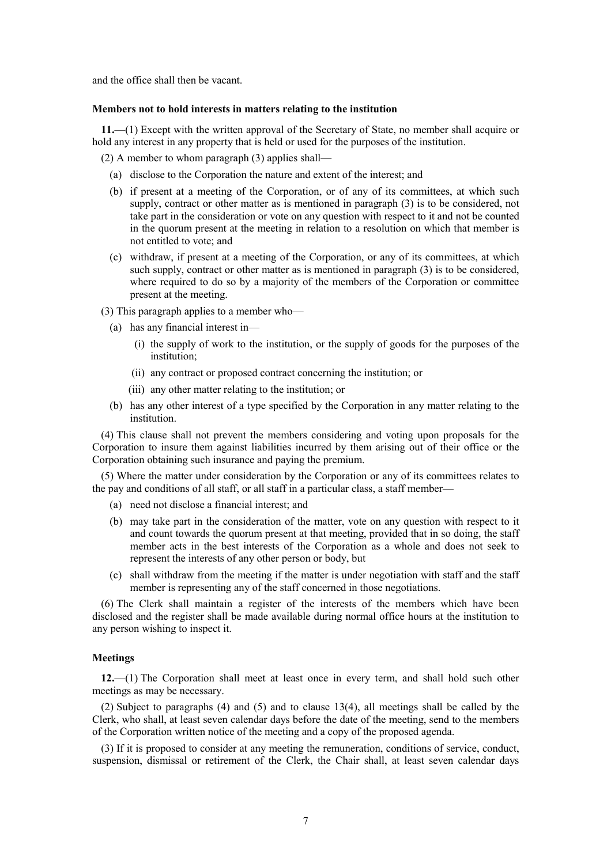and the office shall then be vacant.

## **Members not to hold interests in matters relating to the institution**

**11.**—(1) Except with the written approval of the Secretary of State, no member shall acquire or hold any interest in any property that is held or used for the purposes of the institution.

(2) A member to whom paragraph (3) applies shall—

- (a) disclose to the Corporation the nature and extent of the interest; and
- (b) if present at a meeting of the Corporation, or of any of its committees, at which such supply, contract or other matter as is mentioned in paragraph (3) is to be considered, not take part in the consideration or vote on any question with respect to it and not be counted in the quorum present at the meeting in relation to a resolution on which that member is not entitled to vote; and
- (c) withdraw, if present at a meeting of the Corporation, or any of its committees, at which such supply, contract or other matter as is mentioned in paragraph (3) is to be considered, where required to do so by a majority of the members of the Corporation or committee present at the meeting.

(3) This paragraph applies to a member who—

- (a) has any financial interest in—
	- (i) the supply of work to the institution, or the supply of goods for the purposes of the institution;
	- (ii) any contract or proposed contract concerning the institution; or
	- (iii) any other matter relating to the institution; or
- (b) has any other interest of a type specified by the Corporation in any matter relating to the institution.

(4) This clause shall not prevent the members considering and voting upon proposals for the Corporation to insure them against liabilities incurred by them arising out of their office or the Corporation obtaining such insurance and paying the premium.

(5) Where the matter under consideration by the Corporation or any of its committees relates to the pay and conditions of all staff, or all staff in a particular class, a staff member—

- (a) need not disclose a financial interest; and
- (b) may take part in the consideration of the matter, vote on any question with respect to it and count towards the quorum present at that meeting, provided that in so doing, the staff member acts in the best interests of the Corporation as a whole and does not seek to represent the interests of any other person or body, but
- (c) shall withdraw from the meeting if the matter is under negotiation with staff and the staff member is representing any of the staff concerned in those negotiations.

(6) The Clerk shall maintain a register of the interests of the members which have been disclosed and the register shall be made available during normal office hours at the institution to any person wishing to inspect it.

## **Meetings**

**12.**—(1) The Corporation shall meet at least once in every term, and shall hold such other meetings as may be necessary.

(2) Subject to paragraphs (4) and (5) and to clause 13(4), all meetings shall be called by the Clerk, who shall, at least seven calendar days before the date of the meeting, send to the members of the Corporation written notice of the meeting and a copy of the proposed agenda.

(3) If it is proposed to consider at any meeting the remuneration, conditions of service, conduct, suspension, dismissal or retirement of the Clerk, the Chair shall, at least seven calendar days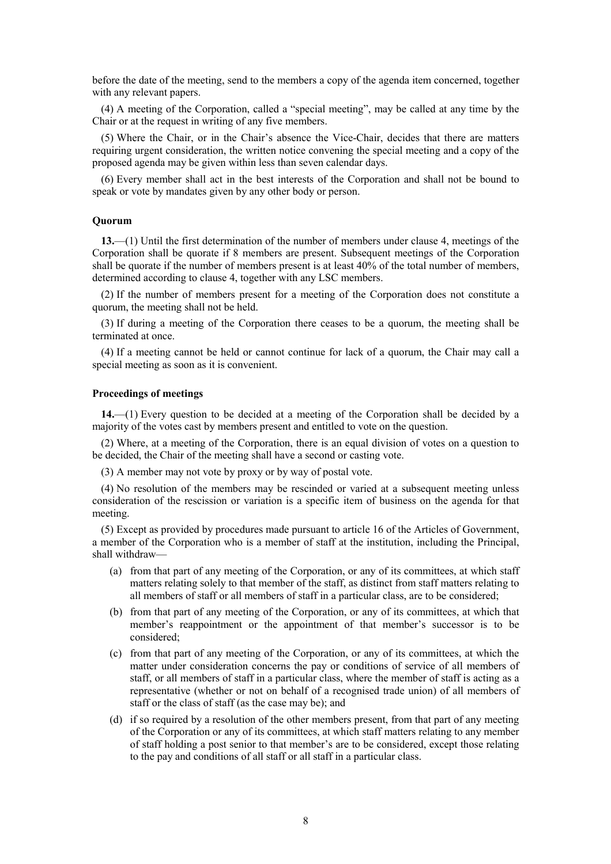before the date of the meeting, send to the members a copy of the agenda item concerned, together with any relevant papers.

(4) A meeting of the Corporation, called a "special meeting", may be called at any time by the Chair or at the request in writing of any five members.

(5) Where the Chair, or in the Chair's absence the Vice-Chair, decides that there are matters requiring urgent consideration, the written notice convening the special meeting and a copy of the proposed agenda may be given within less than seven calendar days.

(6) Every member shall act in the best interests of the Corporation and shall not be bound to speak or vote by mandates given by any other body or person.

# **Quorum**

**13.**—(1) Until the first determination of the number of members under clause 4, meetings of the Corporation shall be quorate if 8 members are present. Subsequent meetings of the Corporation shall be quorate if the number of members present is at least 40% of the total number of members, determined according to clause 4, together with any LSC members.

(2) If the number of members present for a meeting of the Corporation does not constitute a quorum, the meeting shall not be held.

(3) If during a meeting of the Corporation there ceases to be a quorum, the meeting shall be terminated at once.

(4) If a meeting cannot be held or cannot continue for lack of a quorum, the Chair may call a special meeting as soon as it is convenient.

# **Proceedings of meetings**

**14.**—(1) Every question to be decided at a meeting of the Corporation shall be decided by a majority of the votes cast by members present and entitled to vote on the question.

(2) Where, at a meeting of the Corporation, there is an equal division of votes on a question to be decided, the Chair of the meeting shall have a second or casting vote.

(3) A member may not vote by proxy or by way of postal vote.

(4) No resolution of the members may be rescinded or varied at a subsequent meeting unless consideration of the rescission or variation is a specific item of business on the agenda for that meeting.

(5) Except as provided by procedures made pursuant to article 16 of the Articles of Government, a member of the Corporation who is a member of staff at the institution, including the Principal, shall withdraw—

- (a) from that part of any meeting of the Corporation, or any of its committees, at which staff matters relating solely to that member of the staff, as distinct from staff matters relating to all members of staff or all members of staff in a particular class, are to be considered;
- (b) from that part of any meeting of the Corporation, or any of its committees, at which that member's reappointment or the appointment of that member's successor is to be considered;
- (c) from that part of any meeting of the Corporation, or any of its committees, at which the matter under consideration concerns the pay or conditions of service of all members of staff, or all members of staff in a particular class, where the member of staff is acting as a representative (whether or not on behalf of a recognised trade union) of all members of staff or the class of staff (as the case may be); and
- (d) if so required by a resolution of the other members present, from that part of any meeting of the Corporation or any of its committees, at which staff matters relating to any member of staff holding a post senior to that member's are to be considered, except those relating to the pay and conditions of all staff or all staff in a particular class.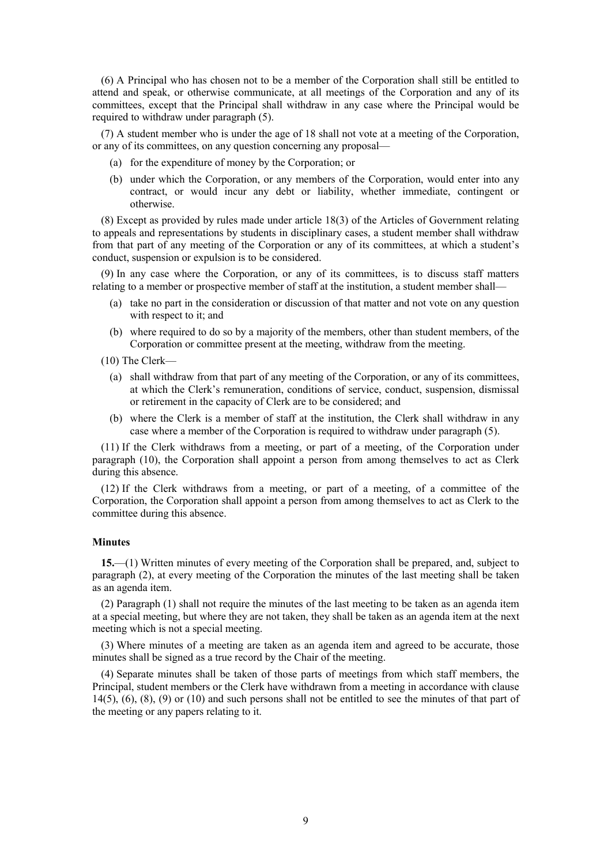(6) A Principal who has chosen not to be a member of the Corporation shall still be entitled to attend and speak, or otherwise communicate, at all meetings of the Corporation and any of its committees, except that the Principal shall withdraw in any case where the Principal would be required to withdraw under paragraph (5).

(7) A student member who is under the age of 18 shall not vote at a meeting of the Corporation, or any of its committees, on any question concerning any proposal—

- (a) for the expenditure of money by the Corporation; or
- (b) under which the Corporation, or any members of the Corporation, would enter into any contract, or would incur any debt or liability, whether immediate, contingent or otherwise.

(8) Except as provided by rules made under article 18(3) of the Articles of Government relating to appeals and representations by students in disciplinary cases, a student member shall withdraw from that part of any meeting of the Corporation or any of its committees, at which a student's conduct, suspension or expulsion is to be considered.

(9) In any case where the Corporation, or any of its committees, is to discuss staff matters relating to a member or prospective member of staff at the institution, a student member shall—

- (a) take no part in the consideration or discussion of that matter and not vote on any question with respect to it; and
- (b) where required to do so by a majority of the members, other than student members, of the Corporation or committee present at the meeting, withdraw from the meeting.
- (10) The Clerk—
	- (a) shall withdraw from that part of any meeting of the Corporation, or any of its committees, at which the Clerk's remuneration, conditions of service, conduct, suspension, dismissal or retirement in the capacity of Clerk are to be considered; and
	- (b) where the Clerk is a member of staff at the institution, the Clerk shall withdraw in any case where a member of the Corporation is required to withdraw under paragraph (5).

(11) If the Clerk withdraws from a meeting, or part of a meeting, of the Corporation under paragraph (10), the Corporation shall appoint a person from among themselves to act as Clerk during this absence.

(12) If the Clerk withdraws from a meeting, or part of a meeting, of a committee of the Corporation, the Corporation shall appoint a person from among themselves to act as Clerk to the committee during this absence.

# **Minutes**

**15.**—(1) Written minutes of every meeting of the Corporation shall be prepared, and, subject to paragraph (2), at every meeting of the Corporation the minutes of the last meeting shall be taken as an agenda item.

(2) Paragraph (1) shall not require the minutes of the last meeting to be taken as an agenda item at a special meeting, but where they are not taken, they shall be taken as an agenda item at the next meeting which is not a special meeting.

(3) Where minutes of a meeting are taken as an agenda item and agreed to be accurate, those minutes shall be signed as a true record by the Chair of the meeting.

(4) Separate minutes shall be taken of those parts of meetings from which staff members, the Principal, student members or the Clerk have withdrawn from a meeting in accordance with clause  $14(5)$ ,  $(6)$ ,  $(8)$ ,  $(9)$  or  $(10)$  and such persons shall not be entitled to see the minutes of that part of the meeting or any papers relating to it.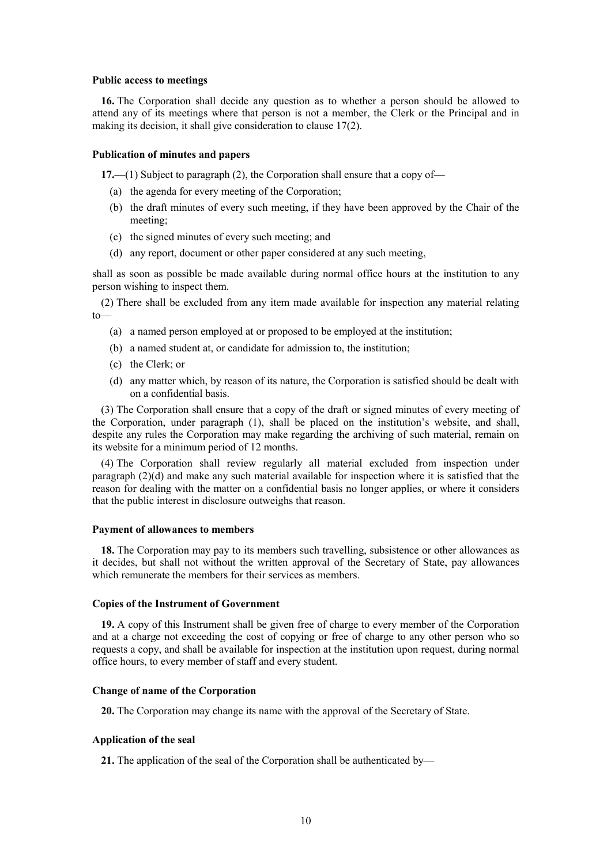### **Public access to meetings**

**16.** The Corporation shall decide any question as to whether a person should be allowed to attend any of its meetings where that person is not a member, the Clerk or the Principal and in making its decision, it shall give consideration to clause 17(2).

## **Publication of minutes and papers**

**17.**—(1) Subject to paragraph (2), the Corporation shall ensure that a copy of—

- (a) the agenda for every meeting of the Corporation;
- (b) the draft minutes of every such meeting, if they have been approved by the Chair of the meeting;
- (c) the signed minutes of every such meeting; and
- (d) any report, document or other paper considered at any such meeting,

shall as soon as possible be made available during normal office hours at the institution to any person wishing to inspect them.

(2) There shall be excluded from any item made available for inspection any material relating to—

- (a) a named person employed at or proposed to be employed at the institution;
- (b) a named student at, or candidate for admission to, the institution;
- (c) the Clerk; or
- (d) any matter which, by reason of its nature, the Corporation is satisfied should be dealt with on a confidential basis.

(3) The Corporation shall ensure that a copy of the draft or signed minutes of every meeting of the Corporation, under paragraph (1), shall be placed on the institution's website, and shall, despite any rules the Corporation may make regarding the archiving of such material, remain on its website for a minimum period of 12 months.

(4) The Corporation shall review regularly all material excluded from inspection under paragraph (2)(d) and make any such material available for inspection where it is satisfied that the reason for dealing with the matter on a confidential basis no longer applies, or where it considers that the public interest in disclosure outweighs that reason.

#### **Payment of allowances to members**

**18.** The Corporation may pay to its members such travelling, subsistence or other allowances as it decides, but shall not without the written approval of the Secretary of State, pay allowances which remunerate the members for their services as members.

# **Copies of the Instrument of Government**

**19.** A copy of this Instrument shall be given free of charge to every member of the Corporation and at a charge not exceeding the cost of copying or free of charge to any other person who so requests a copy, and shall be available for inspection at the institution upon request, during normal office hours, to every member of staff and every student.

# **Change of name of the Corporation**

**20.** The Corporation may change its name with the approval of the Secretary of State.

#### **Application of the seal**

**21.** The application of the seal of the Corporation shall be authenticated by—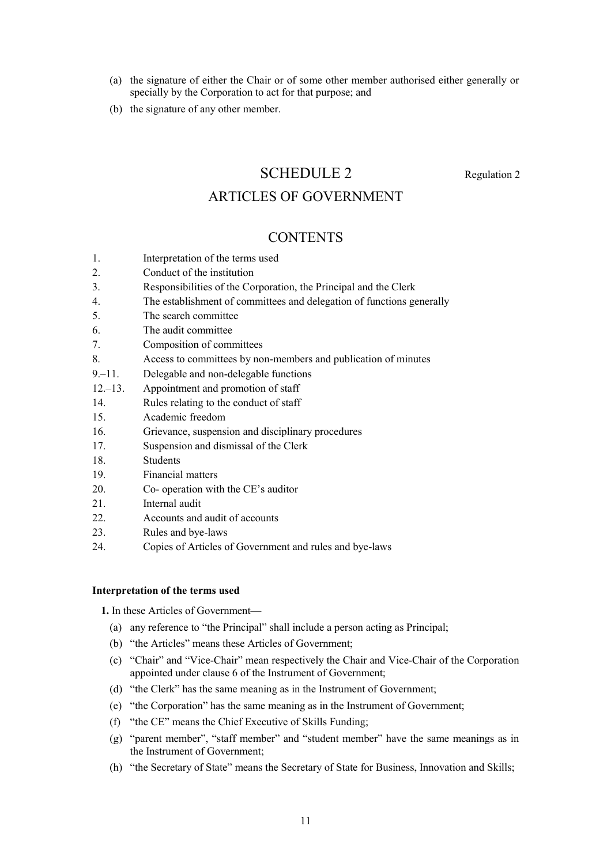- (a) the signature of either the Chair or of some other member authorised either generally or specially by the Corporation to act for that purpose; and
- (b) the signature of any other member.

# SCHEDULE 2 Regulation 2

# ARTICLES OF GOVERNMENT

# **CONTENTS**

- 1. Interpretation of the terms used
- 2. Conduct of the institution
- 3. Responsibilities of the Corporation, the Principal and the Clerk
- 4. The establishment of committees and delegation of functions generally
- 5. The search committee
- 6. The audit committee
- 7. Composition of committees
- 8. Access to committees by non-members and publication of minutes
- 9.–11. Delegable and non-delegable functions
- 12.–13. Appointment and promotion of staff
- 14. Rules relating to the conduct of staff
- 15. Academic freedom
- 16. Grievance, suspension and disciplinary procedures
- 17. Suspension and dismissal of the Clerk
- 18. Students
- 19. Financial matters
- 20. Co- operation with the CE's auditor
- 21 **Internal audit**
- 22. Accounts and audit of accounts
- 23. Rules and bye-laws
- 24. Copies of Articles of Government and rules and bye-laws

# **Interpretation of the terms used**

**1.** In these Articles of Government—

- (a) any reference to "the Principal" shall include a person acting as Principal;
- (b) "the Articles" means these Articles of Government;
- (c) "Chair" and "Vice-Chair" mean respectively the Chair and Vice-Chair of the Corporation appointed under clause 6 of the Instrument of Government;
- (d) "the Clerk" has the same meaning as in the Instrument of Government;
- (e) "the Corporation" has the same meaning as in the Instrument of Government;
- (f) "the CE" means the Chief Executive of Skills Funding;
- (g) "parent member", "staff member" and "student member" have the same meanings as in the Instrument of Government;
- (h) "the Secretary of State" means the Secretary of State for Business, Innovation and Skills;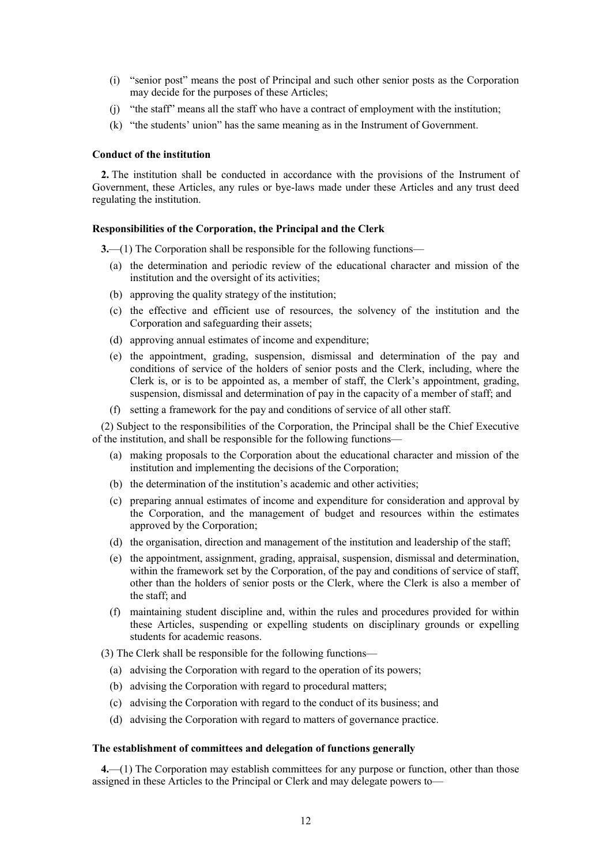- (i) "senior post" means the post of Principal and such other senior posts as the Corporation may decide for the purposes of these Articles;
- (j) "the staff" means all the staff who have a contract of employment with the institution;
- (k) "the students' union" has the same meaning as in the Instrument of Government.

# **Conduct of the institution**

**2.** The institution shall be conducted in accordance with the provisions of the Instrument of Government, these Articles, any rules or bye-laws made under these Articles and any trust deed regulating the institution.

# **Responsibilities of the Corporation, the Principal and the Clerk**

**3.**—(1) The Corporation shall be responsible for the following functions—

- (a) the determination and periodic review of the educational character and mission of the institution and the oversight of its activities;
- (b) approving the quality strategy of the institution;
- (c) the effective and efficient use of resources, the solvency of the institution and the Corporation and safeguarding their assets;
- (d) approving annual estimates of income and expenditure;
- (e) the appointment, grading, suspension, dismissal and determination of the pay and conditions of service of the holders of senior posts and the Clerk, including, where the Clerk is, or is to be appointed as, a member of staff, the Clerk's appointment, grading, suspension, dismissal and determination of pay in the capacity of a member of staff; and
- (f) setting a framework for the pay and conditions of service of all other staff.

(2) Subject to the responsibilities of the Corporation, the Principal shall be the Chief Executive of the institution, and shall be responsible for the following functions—

- (a) making proposals to the Corporation about the educational character and mission of the institution and implementing the decisions of the Corporation;
- (b) the determination of the institution's academic and other activities;
- (c) preparing annual estimates of income and expenditure for consideration and approval by the Corporation, and the management of budget and resources within the estimates approved by the Corporation;
- (d) the organisation, direction and management of the institution and leadership of the staff;
- (e) the appointment, assignment, grading, appraisal, suspension, dismissal and determination, within the framework set by the Corporation, of the pay and conditions of service of staff, other than the holders of senior posts or the Clerk, where the Clerk is also a member of the staff; and
- (f) maintaining student discipline and, within the rules and procedures provided for within these Articles, suspending or expelling students on disciplinary grounds or expelling students for academic reasons.

(3) The Clerk shall be responsible for the following functions—

- (a) advising the Corporation with regard to the operation of its powers;
- (b) advising the Corporation with regard to procedural matters;
- (c) advising the Corporation with regard to the conduct of its business; and
- (d) advising the Corporation with regard to matters of governance practice.

# **The establishment of committees and delegation of functions generally**

**4.**—(1) The Corporation may establish committees for any purpose or function, other than those assigned in these Articles to the Principal or Clerk and may delegate powers to—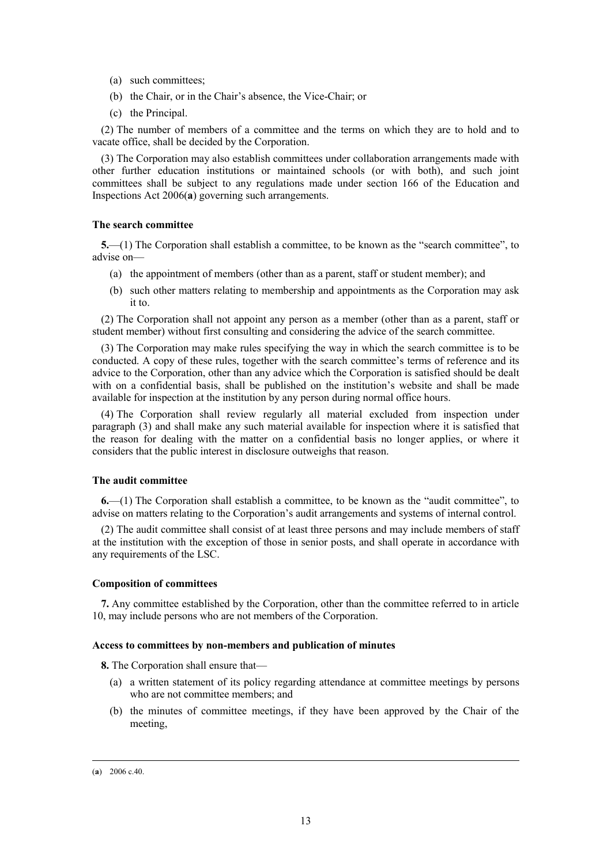- (a) such committees;
- (b) the Chair, or in the Chair's absence, the Vice-Chair; or
- (c) the Principal.

(2) The number of members of a committee and the terms on which they are to hold and to vacate office, shall be decided by the Corporation.

(3) The Corporation may also establish committees under collaboration arrangements made with other further education institutions or maintained schools (or with both), and such joint committees shall be subject to any regulations made under section 166 of the Education and Inspections Act 2006(**a**) governing such arrangements.

# **The search committee**

**5.**—(1) The Corporation shall establish a committee, to be known as the "search committee", to advise on—

- (a) the appointment of members (other than as a parent, staff or student member); and
- (b) such other matters relating to membership and appointments as the Corporation may ask it to.

(2) The Corporation shall not appoint any person as a member (other than as a parent, staff or student member) without first consulting and considering the advice of the search committee.

(3) The Corporation may make rules specifying the way in which the search committee is to be conducted. A copy of these rules, together with the search committee's terms of reference and its advice to the Corporation, other than any advice which the Corporation is satisfied should be dealt with on a confidential basis, shall be published on the institution's website and shall be made available for inspection at the institution by any person during normal office hours.

(4) The Corporation shall review regularly all material excluded from inspection under paragraph (3) and shall make any such material available for inspection where it is satisfied that the reason for dealing with the matter on a confidential basis no longer applies, or where it considers that the public interest in disclosure outweighs that reason.

# **The audit committee**

**6.**—(1) The Corporation shall establish a committee, to be known as the "audit committee", to advise on matters relating to the Corporation's audit arrangements and systems of internal control.

(2) The audit committee shall consist of at least three persons and may include members of staff at the institution with the exception of those in senior posts, and shall operate in accordance with any requirements of the LSC.

# **Composition of committees**

**7.** Any committee established by the Corporation, other than the committee referred to in article 10, may include persons who are not members of the Corporation.

# **Access to committees by non-members and publication of minutes**

**8.** The Corporation shall ensure that—

- (a) a written statement of its policy regarding attendance at committee meetings by persons who are not committee members; and
- (b) the minutes of committee meetings, if they have been approved by the Chair of the meeting,

 <sup>(</sup>**a**) 2006 c.40.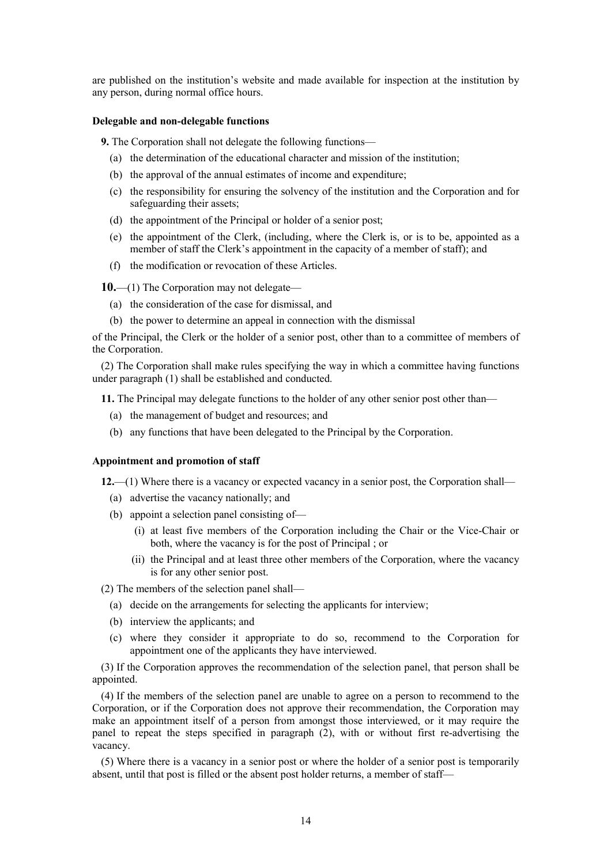are published on the institution's website and made available for inspection at the institution by any person, during normal office hours.

## **Delegable and non-delegable functions**

**9.** The Corporation shall not delegate the following functions—

- (a) the determination of the educational character and mission of the institution;
- (b) the approval of the annual estimates of income and expenditure;
- (c) the responsibility for ensuring the solvency of the institution and the Corporation and for safeguarding their assets;
- (d) the appointment of the Principal or holder of a senior post;
- (e) the appointment of the Clerk, (including, where the Clerk is, or is to be, appointed as a member of staff the Clerk's appointment in the capacity of a member of staff); and
- (f) the modification or revocation of these Articles.

**10.**—(1) The Corporation may not delegate—

- (a) the consideration of the case for dismissal, and
- (b) the power to determine an appeal in connection with the dismissal

of the Principal, the Clerk or the holder of a senior post, other than to a committee of members of the Corporation.

(2) The Corporation shall make rules specifying the way in which a committee having functions under paragraph (1) shall be established and conducted.

**11.** The Principal may delegate functions to the holder of any other senior post other than—

- (a) the management of budget and resources; and
- (b) any functions that have been delegated to the Principal by the Corporation.

## **Appointment and promotion of staff**

**12.**—(1) Where there is a vacancy or expected vacancy in a senior post, the Corporation shall—

- (a) advertise the vacancy nationally; and
- (b) appoint a selection panel consisting of—
	- (i) at least five members of the Corporation including the Chair or the Vice-Chair or both, where the vacancy is for the post of Principal ; or
	- (ii) the Principal and at least three other members of the Corporation, where the vacancy is for any other senior post.

(2) The members of the selection panel shall—

- (a) decide on the arrangements for selecting the applicants for interview;
- (b) interview the applicants; and
- (c) where they consider it appropriate to do so, recommend to the Corporation for appointment one of the applicants they have interviewed.

(3) If the Corporation approves the recommendation of the selection panel, that person shall be appointed.

(4) If the members of the selection panel are unable to agree on a person to recommend to the Corporation, or if the Corporation does not approve their recommendation, the Corporation may make an appointment itself of a person from amongst those interviewed, or it may require the panel to repeat the steps specified in paragraph (2), with or without first re-advertising the vacancy.

(5) Where there is a vacancy in a senior post or where the holder of a senior post is temporarily absent, until that post is filled or the absent post holder returns, a member of staff—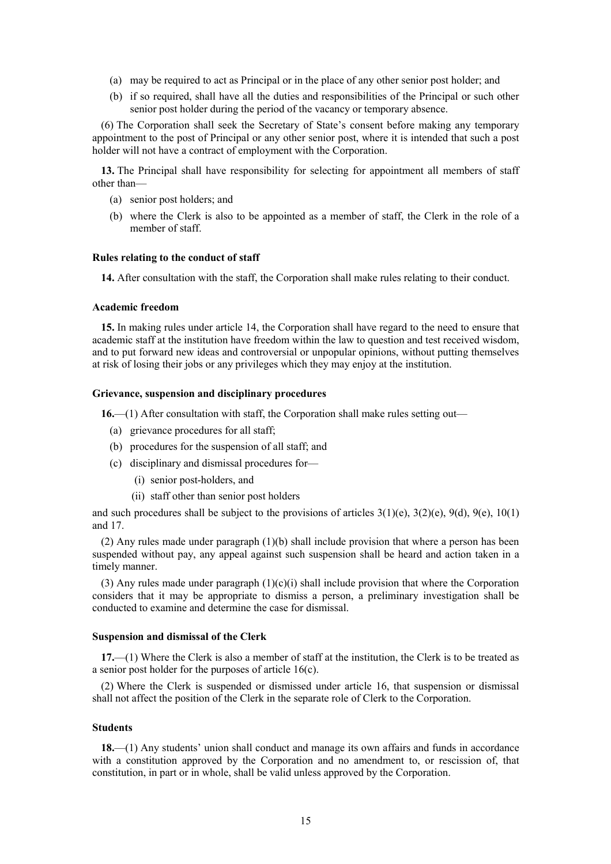- (a) may be required to act as Principal or in the place of any other senior post holder; and
- (b) if so required, shall have all the duties and responsibilities of the Principal or such other senior post holder during the period of the vacancy or temporary absence.

(6) The Corporation shall seek the Secretary of State's consent before making any temporary appointment to the post of Principal or any other senior post, where it is intended that such a post holder will not have a contract of employment with the Corporation.

**13.** The Principal shall have responsibility for selecting for appointment all members of staff other than—

- (a) senior post holders; and
- (b) where the Clerk is also to be appointed as a member of staff, the Clerk in the role of a member of staff.

# **Rules relating to the conduct of staff**

**14.** After consultation with the staff, the Corporation shall make rules relating to their conduct.

### **Academic freedom**

**15.** In making rules under article 14, the Corporation shall have regard to the need to ensure that academic staff at the institution have freedom within the law to question and test received wisdom, and to put forward new ideas and controversial or unpopular opinions, without putting themselves at risk of losing their jobs or any privileges which they may enjoy at the institution.

# **Grievance, suspension and disciplinary procedures**

**16.**—(1) After consultation with staff, the Corporation shall make rules setting out—

- (a) grievance procedures for all staff;
- (b) procedures for the suspension of all staff; and
- (c) disciplinary and dismissal procedures for—
	- (i) senior post-holders, and
	- (ii) staff other than senior post holders

and such procedures shall be subject to the provisions of articles  $3(1)(e)$ ,  $3(2)(e)$ ,  $9(d)$ ,  $9(e)$ ,  $10(1)$ and 17.

(2) Any rules made under paragraph (1)(b) shall include provision that where a person has been suspended without pay, any appeal against such suspension shall be heard and action taken in a timely manner.

(3) Any rules made under paragraph  $(1)(c)(i)$  shall include provision that where the Corporation considers that it may be appropriate to dismiss a person, a preliminary investigation shall be conducted to examine and determine the case for dismissal.

## **Suspension and dismissal of the Clerk**

**17.**—(1) Where the Clerk is also a member of staff at the institution, the Clerk is to be treated as a senior post holder for the purposes of article 16(c).

(2) Where the Clerk is suspended or dismissed under article 16, that suspension or dismissal shall not affect the position of the Clerk in the separate role of Clerk to the Corporation.

# **Students**

**18.**—(1) Any students' union shall conduct and manage its own affairs and funds in accordance with a constitution approved by the Corporation and no amendment to, or rescission of, that constitution, in part or in whole, shall be valid unless approved by the Corporation.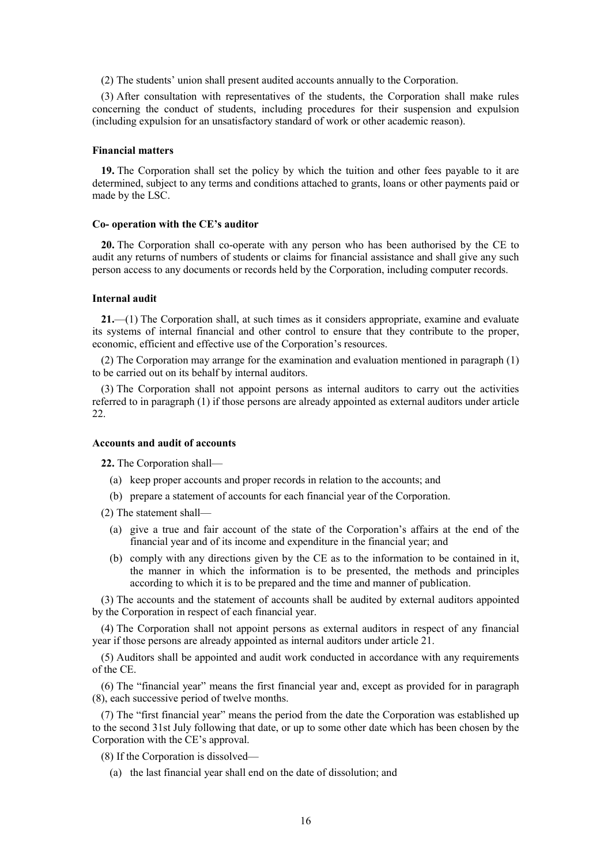(2) The students' union shall present audited accounts annually to the Corporation.

(3) After consultation with representatives of the students, the Corporation shall make rules concerning the conduct of students, including procedures for their suspension and expulsion (including expulsion for an unsatisfactory standard of work or other academic reason).

### **Financial matters**

**19.** The Corporation shall set the policy by which the tuition and other fees payable to it are determined, subject to any terms and conditions attached to grants, loans or other payments paid or made by the LSC.

#### **Co- operation with the CE's auditor**

**20.** The Corporation shall co-operate with any person who has been authorised by the CE to audit any returns of numbers of students or claims for financial assistance and shall give any such person access to any documents or records held by the Corporation, including computer records.

## **Internal audit**

**21.**—(1) The Corporation shall, at such times as it considers appropriate, examine and evaluate its systems of internal financial and other control to ensure that they contribute to the proper, economic, efficient and effective use of the Corporation's resources.

(2) The Corporation may arrange for the examination and evaluation mentioned in paragraph (1) to be carried out on its behalf by internal auditors.

(3) The Corporation shall not appoint persons as internal auditors to carry out the activities referred to in paragraph (1) if those persons are already appointed as external auditors under article 22.

# **Accounts and audit of accounts**

**22.** The Corporation shall—

- (a) keep proper accounts and proper records in relation to the accounts; and
- (b) prepare a statement of accounts for each financial year of the Corporation.
- (2) The statement shall—
	- (a) give a true and fair account of the state of the Corporation's affairs at the end of the financial year and of its income and expenditure in the financial year; and
	- (b) comply with any directions given by the CE as to the information to be contained in it, the manner in which the information is to be presented, the methods and principles according to which it is to be prepared and the time and manner of publication.

(3) The accounts and the statement of accounts shall be audited by external auditors appointed by the Corporation in respect of each financial year.

(4) The Corporation shall not appoint persons as external auditors in respect of any financial year if those persons are already appointed as internal auditors under article 21.

(5) Auditors shall be appointed and audit work conducted in accordance with any requirements of the CE.

(6) The "financial year" means the first financial year and, except as provided for in paragraph (8), each successive period of twelve months.

(7) The "first financial year" means the period from the date the Corporation was established up to the second 31st July following that date, or up to some other date which has been chosen by the Corporation with the CE's approval.

(8) If the Corporation is dissolved—

(a) the last financial year shall end on the date of dissolution; and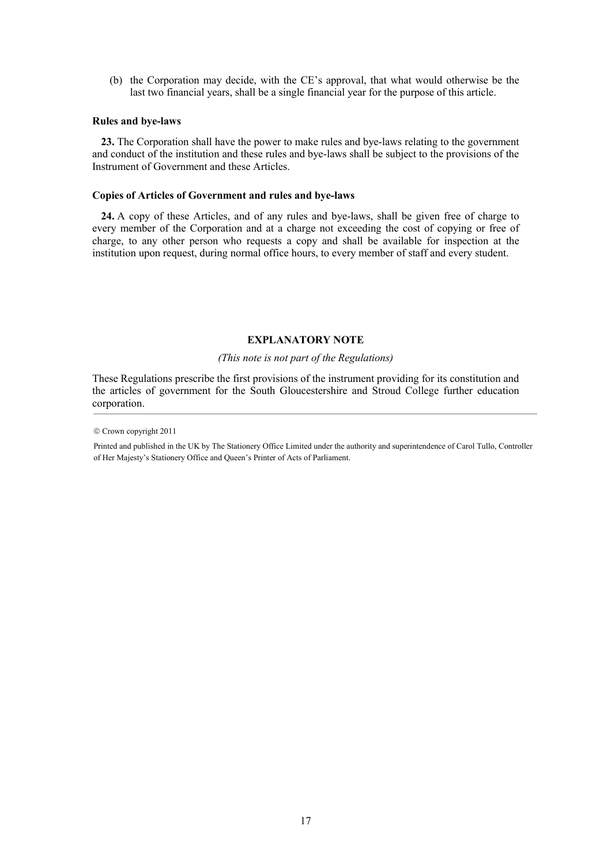(b) the Corporation may decide, with the CE's approval, that what would otherwise be the last two financial years, shall be a single financial year for the purpose of this article.

# **Rules and bye-laws**

**23.** The Corporation shall have the power to make rules and bye-laws relating to the government and conduct of the institution and these rules and bye-laws shall be subject to the provisions of the Instrument of Government and these Articles.

# **Copies of Articles of Government and rules and bye-laws**

**24.** A copy of these Articles, and of any rules and bye-laws, shall be given free of charge to every member of the Corporation and at a charge not exceeding the cost of copying or free of charge, to any other person who requests a copy and shall be available for inspection at the institution upon request, during normal office hours, to every member of staff and every student.

# **EXPLANATORY NOTE**

# *(This note is not part of the Regulations)*

These Regulations prescribe the first provisions of the instrument providing for its constitution and the articles of government for the South Gloucestershire and Stroud College further education corporation.  $_{\rm\sim}$ 

<sup>©</sup> Crown copyright 2011

Printed and published in the UK by The Stationery Office Limited under the authority and superintendence of Carol Tullo, Controller of Her Majesty's Stationery Office and Queen's Printer of Acts of Parliament.